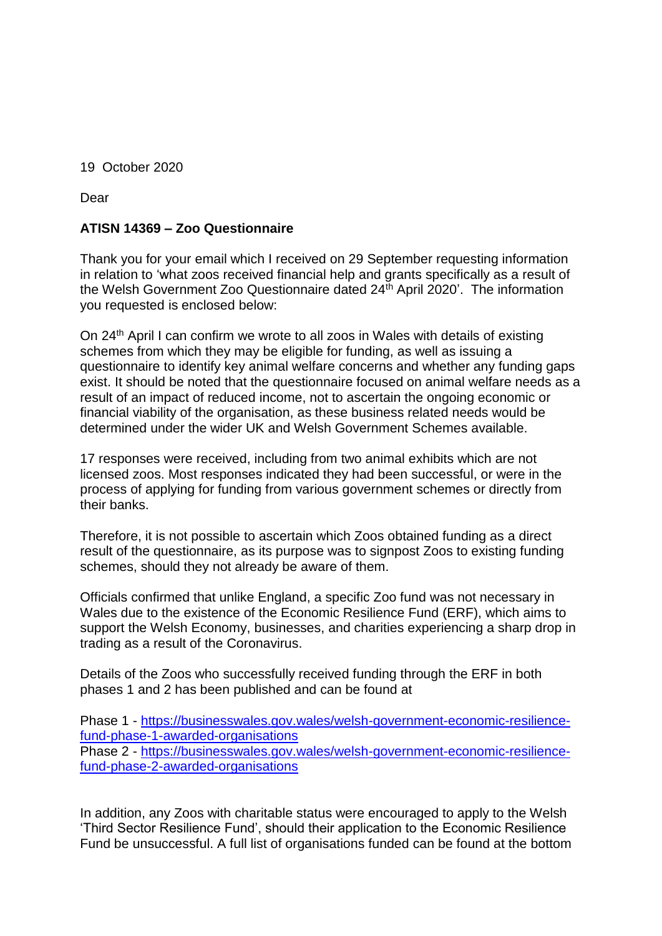19 October 2020

Dear

## **ATISN 14369 – Zoo Questionnaire**

Thank you for your email which I received on 29 September requesting information in relation to 'what zoos received financial help and grants specifically as a result of the Welsh Government Zoo Questionnaire dated  $24<sup>th</sup>$  April 2020'. The information you requested is enclosed below:

On 24<sup>th</sup> April I can confirm we wrote to all zoos in Wales with details of existing schemes from which they may be eligible for funding, as well as issuing a questionnaire to identify key animal welfare concerns and whether any funding gaps exist. It should be noted that the questionnaire focused on animal welfare needs as a result of an impact of reduced income, not to ascertain the ongoing economic or financial viability of the organisation, as these business related needs would be determined under the wider UK and Welsh Government Schemes available.

17 responses were received, including from two animal exhibits which are not licensed zoos. Most responses indicated they had been successful, or were in the process of applying for funding from various government schemes or directly from their banks.

Therefore, it is not possible to ascertain which Zoos obtained funding as a direct result of the questionnaire, as its purpose was to signpost Zoos to existing funding schemes, should they not already be aware of them.

Officials confirmed that unlike England, a specific Zoo fund was not necessary in Wales due to the existence of the Economic Resilience Fund (ERF), which aims to support the Welsh Economy, businesses, and charities experiencing a sharp drop in trading as a result of the Coronavirus.

Details of the Zoos who successfully received funding through the ERF in both phases 1 and 2 has been published and can be found at

Phase 1 - [https://businesswales.gov.wales/welsh-government-economic-resilience](https://eur01.safelinks.protection.outlook.com/?url=https%3A%2F%2Fbusinesswales.gov.wales%2Fwelsh-government-economic-resilience-fund-phase-1-awarded-organisations&data=02%7C01%7CMark.English1%40gov.wales%7Cf579ab272b954ce3dd9808d869d7f4ff%7Ca2cc36c592804ae78887d06dab89216b%7C0%7C0%7C637375723528411399&sdata=DTBmFvsSNTOfPKIi%2BQ3o0SdUujXjfVOp356eEOgJm%2Fw%3D&reserved=0)[fund-phase-1-awarded-organisations](https://eur01.safelinks.protection.outlook.com/?url=https%3A%2F%2Fbusinesswales.gov.wales%2Fwelsh-government-economic-resilience-fund-phase-1-awarded-organisations&data=02%7C01%7CMark.English1%40gov.wales%7Cf579ab272b954ce3dd9808d869d7f4ff%7Ca2cc36c592804ae78887d06dab89216b%7C0%7C0%7C637375723528411399&sdata=DTBmFvsSNTOfPKIi%2BQ3o0SdUujXjfVOp356eEOgJm%2Fw%3D&reserved=0) Phase 2 - [https://businesswales.gov.wales/welsh-government-economic-resilience](https://eur01.safelinks.protection.outlook.com/?url=https%3A%2F%2Fbusinesswales.gov.wales%2Fwelsh-government-economic-resilience-fund-phase-2-awarded-organisations&data=02%7C01%7CMark.English1%40gov.wales%7Cf579ab272b954ce3dd9808d869d7f4ff%7Ca2cc36c592804ae78887d06dab89216b%7C0%7C0%7C637375723528411399&sdata=YbUqWeDMbSTUk%2FRXhK08%2BkFULfx%2FiBcAkCFVZA3m2Mg%3D&reserved=0)[fund-phase-2-awarded-organisations](https://eur01.safelinks.protection.outlook.com/?url=https%3A%2F%2Fbusinesswales.gov.wales%2Fwelsh-government-economic-resilience-fund-phase-2-awarded-organisations&data=02%7C01%7CMark.English1%40gov.wales%7Cf579ab272b954ce3dd9808d869d7f4ff%7Ca2cc36c592804ae78887d06dab89216b%7C0%7C0%7C637375723528411399&sdata=YbUqWeDMbSTUk%2FRXhK08%2BkFULfx%2FiBcAkCFVZA3m2Mg%3D&reserved=0)

In addition, any Zoos with charitable status were encouraged to apply to the Welsh 'Third Sector Resilience Fund', should their application to the Economic Resilience Fund be unsuccessful. A full list of organisations funded can be found at the bottom